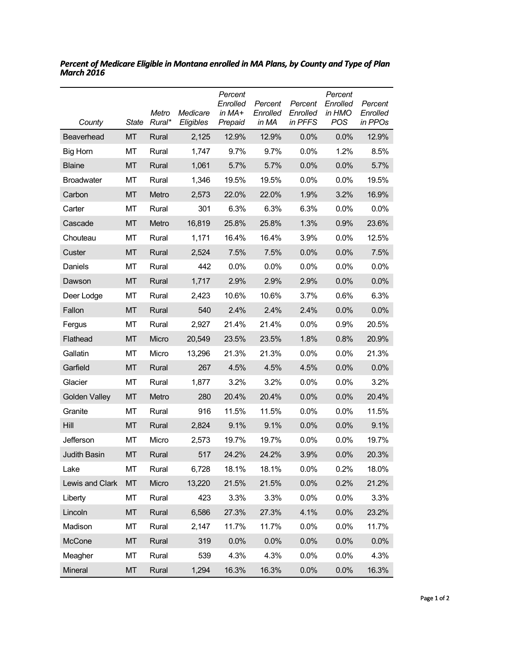| County               | <b>State</b> | Metro<br>Rural* | Medicare<br>Eligibles | Percent<br>Enrolled<br>in $MA+$<br>Prepaid | Percent<br>Enrolled<br>in MA | Percent<br>Enrolled<br>in PFFS | Percent<br>Enrolled<br>in HMO<br>POS | Percent<br>Enrolled<br>in PPOs |
|----------------------|--------------|-----------------|-----------------------|--------------------------------------------|------------------------------|--------------------------------|--------------------------------------|--------------------------------|
| Beaverhead           | MT           | Rural           | 2,125                 | 12.9%                                      | 12.9%                        | 0.0%                           | 0.0%                                 | 12.9%                          |
| Big Horn             | МT           | Rural           | 1,747                 | 9.7%                                       | 9.7%                         | 0.0%                           | 1.2%                                 | 8.5%                           |
| <b>Blaine</b>        | <b>MT</b>    | Rural           | 1,061                 | 5.7%                                       | 5.7%                         | 0.0%                           | 0.0%                                 | 5.7%                           |
| <b>Broadwater</b>    | МT           | Rural           | 1,346                 | 19.5%                                      | 19.5%                        | 0.0%                           | 0.0%                                 | 19.5%                          |
| Carbon               | <b>MT</b>    | Metro           | 2,573                 | 22.0%                                      | 22.0%                        | 1.9%                           | 3.2%                                 | 16.9%                          |
| Carter               | МT           | Rural           | 301                   | 6.3%                                       | 6.3%                         | 6.3%                           | 0.0%                                 | 0.0%                           |
| Cascade              | <b>MT</b>    | Metro           | 16,819                | 25.8%                                      | 25.8%                        | 1.3%                           | 0.9%                                 | 23.6%                          |
| Chouteau             | MT           | Rural           | 1,171                 | 16.4%                                      | 16.4%                        | 3.9%                           | 0.0%                                 | 12.5%                          |
| Custer               | <b>MT</b>    | Rural           | 2,524                 | 7.5%                                       | 7.5%                         | 0.0%                           | 0.0%                                 | 7.5%                           |
| Daniels              | МT           | Rural           | 442                   | 0.0%                                       | 0.0%                         | 0.0%                           | 0.0%                                 | 0.0%                           |
| Dawson               | <b>MT</b>    | Rural           | 1,717                 | 2.9%                                       | 2.9%                         | 2.9%                           | 0.0%                                 | 0.0%                           |
| Deer Lodge           | МT           | Rural           | 2,423                 | 10.6%                                      | 10.6%                        | 3.7%                           | 0.6%                                 | 6.3%                           |
| Fallon               | <b>MT</b>    | Rural           | 540                   | 2.4%                                       | 2.4%                         | 2.4%                           | 0.0%                                 | 0.0%                           |
| Fergus               | МT           | Rural           | 2,927                 | 21.4%                                      | 21.4%                        | 0.0%                           | 0.9%                                 | 20.5%                          |
| Flathead             | <b>MT</b>    | Micro           | 20,549                | 23.5%                                      | 23.5%                        | 1.8%                           | 0.8%                                 | 20.9%                          |
| Gallatin             | MT           | Micro           | 13,296                | 21.3%                                      | 21.3%                        | 0.0%                           | 0.0%                                 | 21.3%                          |
| Garfield             | <b>MT</b>    | Rural           | 267                   | 4.5%                                       | 4.5%                         | 4.5%                           | 0.0%                                 | 0.0%                           |
| Glacier              | МT           | Rural           | 1,877                 | 3.2%                                       | 3.2%                         | 0.0%                           | $0.0\%$                              | 3.2%                           |
| <b>Golden Valley</b> | <b>MT</b>    | Metro           | 280                   | 20.4%                                      | 20.4%                        | 0.0%                           | 0.0%                                 | 20.4%                          |
| Granite              | МT           | Rural           | 916                   | 11.5%                                      | 11.5%                        | 0.0%                           | 0.0%                                 | 11.5%                          |
| Hill                 | <b>MT</b>    | Rural           | 2,824                 | 9.1%                                       | 9.1%                         | 0.0%                           | 0.0%                                 | 9.1%                           |
| Jefferson            | МT           | Micro           | 2,573                 | 19.7%                                      | 19.7%                        | 0.0%                           | 0.0%                                 | 19.7%                          |
| Judith Basin         | <b>MT</b>    | Rural           | 517                   | 24.2%                                      | 24.2%                        | 3.9%                           | 0.0%                                 | 20.3%                          |
| Lake                 | MT           | Rural           | 6,728                 | 18.1%                                      | 18.1%                        | 0.0%                           | 0.2%                                 | 18.0%                          |
| Lewis and Clark      | <b>MT</b>    | Micro           | 13,220                | 21.5%                                      | 21.5%                        | 0.0%                           | 0.2%                                 | 21.2%                          |
| Liberty              | MT           | Rural           | 423                   | 3.3%                                       | 3.3%                         | 0.0%                           | 0.0%                                 | 3.3%                           |
| Lincoln              | <b>MT</b>    | Rural           | 6,586                 | 27.3%                                      | 27.3%                        | 4.1%                           | 0.0%                                 | 23.2%                          |
| Madison              | MT           | Rural           | 2,147                 | 11.7%                                      | 11.7%                        | 0.0%                           | 0.0%                                 | 11.7%                          |
| McCone               | <b>MT</b>    | Rural           | 319                   | 0.0%                                       | 0.0%                         | 0.0%                           | 0.0%                                 | 0.0%                           |
| Meagher              | MT           | Rural           | 539                   | 4.3%                                       | 4.3%                         | 0.0%                           | 0.0%                                 | 4.3%                           |
| Mineral              | MT           | Rural           | 1,294                 | 16.3%                                      | 16.3%                        | 0.0%                           | 0.0%                                 | 16.3%                          |

*Percent of Medicare Eligible in Montana enrolled in MA Plans, by County and Type of Plan March 2016*